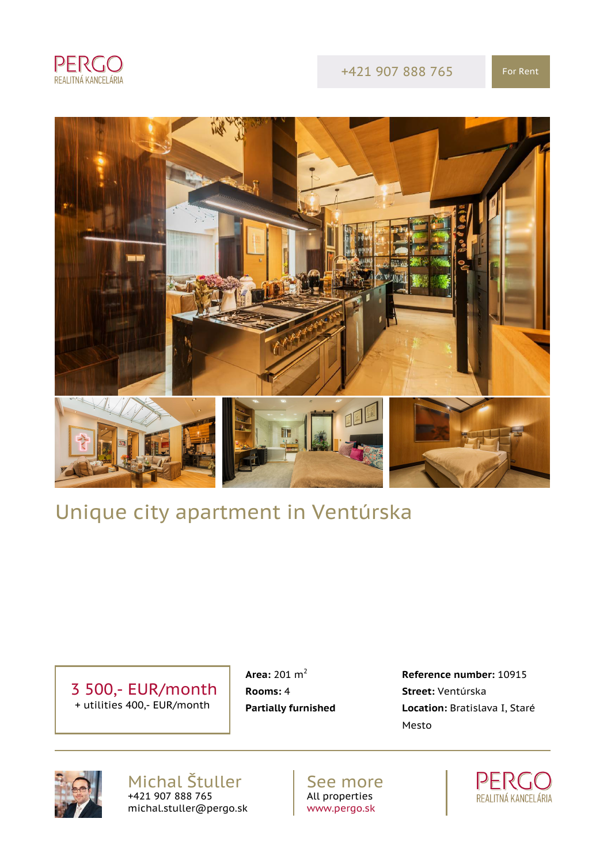

+421 907 888 765 For Rent



# Unique city apartment in Ventúrska

 3 500,- EUR/month + utilities 400,- EUR/month

**Rooms:** 4 **Street:** Ventúrska

 **Area:** 201 m<sup>2</sup> **Reference number:** 10915 **Partially furnished Location:** Bratislava I, Staré Mesto



Michal Štuller +421 907 888 765 michal.stuller@pergo.sk

See more All properties [www.pergo.sk](http://www.pergo.sk)